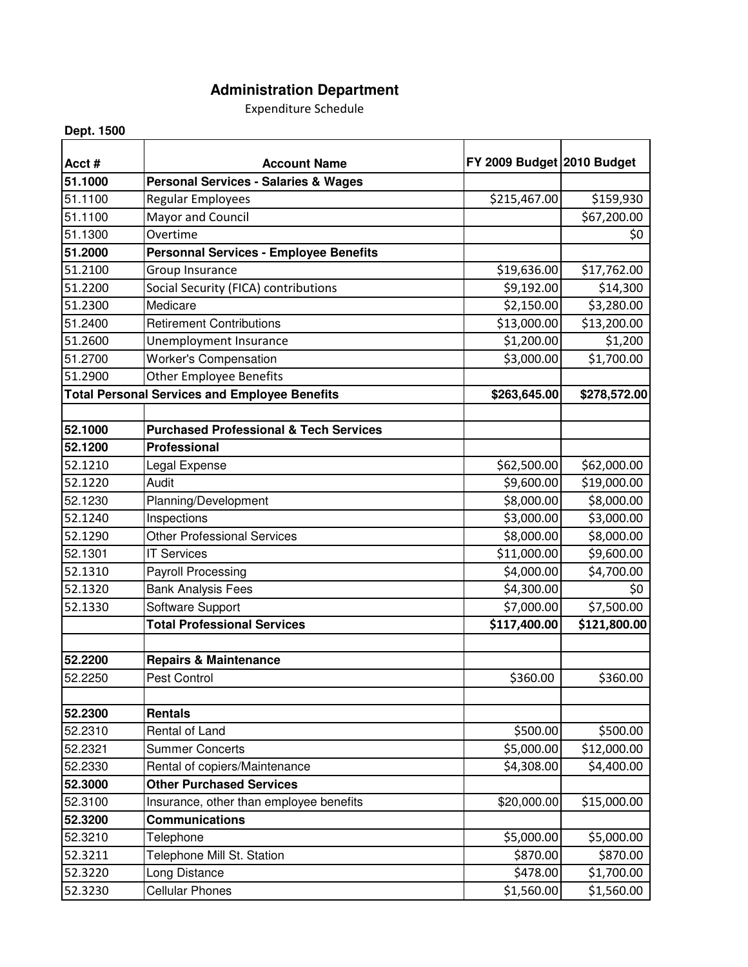## **Administration Department**

Expenditure Schedule

**Dept. 1500**

| Acct#   | <b>Account Name</b>                                  | FY 2009 Budget 2010 Budget |              |
|---------|------------------------------------------------------|----------------------------|--------------|
| 51.1000 | <b>Personal Services - Salaries &amp; Wages</b>      |                            |              |
| 51.1100 | Regular Employees                                    | \$215,467.00               | \$159,930    |
| 51.1100 | Mayor and Council                                    |                            | \$67,200.00  |
| 51.1300 | Overtime                                             |                            | \$0          |
| 51.2000 | <b>Personnal Services - Employee Benefits</b>        |                            |              |
| 51.2100 | Group Insurance                                      | \$19,636.00                | \$17,762.00  |
| 51.2200 | Social Security (FICA) contributions                 | \$9,192.00                 | \$14,300     |
| 51.2300 | Medicare                                             | \$2,150.00                 | \$3,280.00   |
| 51.2400 | <b>Retirement Contributions</b>                      | \$13,000.00                | \$13,200.00  |
| 51.2600 | <b>Unemployment Insurance</b>                        | \$1,200.00                 | \$1,200      |
| 51.2700 | <b>Worker's Compensation</b>                         | \$3,000.00                 | \$1,700.00   |
| 51.2900 | <b>Other Employee Benefits</b>                       |                            |              |
|         | <b>Total Personal Services and Employee Benefits</b> | \$263,645.00               | \$278,572.00 |
|         |                                                      |                            |              |
| 52.1000 | <b>Purchased Professional &amp; Tech Services</b>    |                            |              |
| 52.1200 | <b>Professional</b>                                  |                            |              |
| 52.1210 | Legal Expense                                        | \$62,500.00                | \$62,000.00  |
| 52.1220 | Audit                                                | \$9,600.00                 | \$19,000.00  |
| 52.1230 | Planning/Development                                 | \$8,000.00                 | \$8,000.00   |
| 52.1240 | Inspections                                          | \$3,000.00                 | \$3,000.00   |
| 52.1290 | <b>Other Professional Services</b>                   | \$8,000.00                 | \$8,000.00   |
| 52.1301 | <b>IT Services</b>                                   | \$11,000.00                | \$9,600.00   |
| 52.1310 | <b>Payroll Processing</b>                            | \$4,000.00                 | \$4,700.00   |
| 52.1320 | <b>Bank Analysis Fees</b>                            | \$4,300.00                 | \$0          |
| 52.1330 | Software Support                                     | \$7,000.00                 | \$7,500.00   |
|         | <b>Total Professional Services</b>                   | \$117,400.00               | \$121,800.00 |
| 52.2200 | <b>Repairs &amp; Maintenance</b>                     |                            |              |
| 52.2250 | <b>Pest Control</b>                                  | \$360.00                   | \$360.00     |
|         |                                                      |                            |              |
| 52.2300 | <b>Rentals</b>                                       |                            |              |
| 52.2310 | Rental of Land                                       | \$500.00                   | \$500.00     |
| 52.2321 | <b>Summer Concerts</b>                               | \$5,000.00                 | \$12,000.00  |
| 52.2330 | Rental of copiers/Maintenance                        | \$4,308.00                 | \$4,400.00   |
| 52.3000 | <b>Other Purchased Services</b>                      |                            |              |
| 52.3100 | Insurance, other than employee benefits              | \$20,000.00                | \$15,000.00  |
| 52.3200 | <b>Communications</b>                                |                            |              |
| 52.3210 | Telephone                                            | \$5,000.00                 | \$5,000.00   |
| 52.3211 | Telephone Mill St. Station                           | \$870.00                   | \$870.00     |
| 52.3220 | Long Distance                                        | \$478.00                   | \$1,700.00   |
| 52.3230 | <b>Cellular Phones</b>                               | \$1,560.00                 | \$1,560.00   |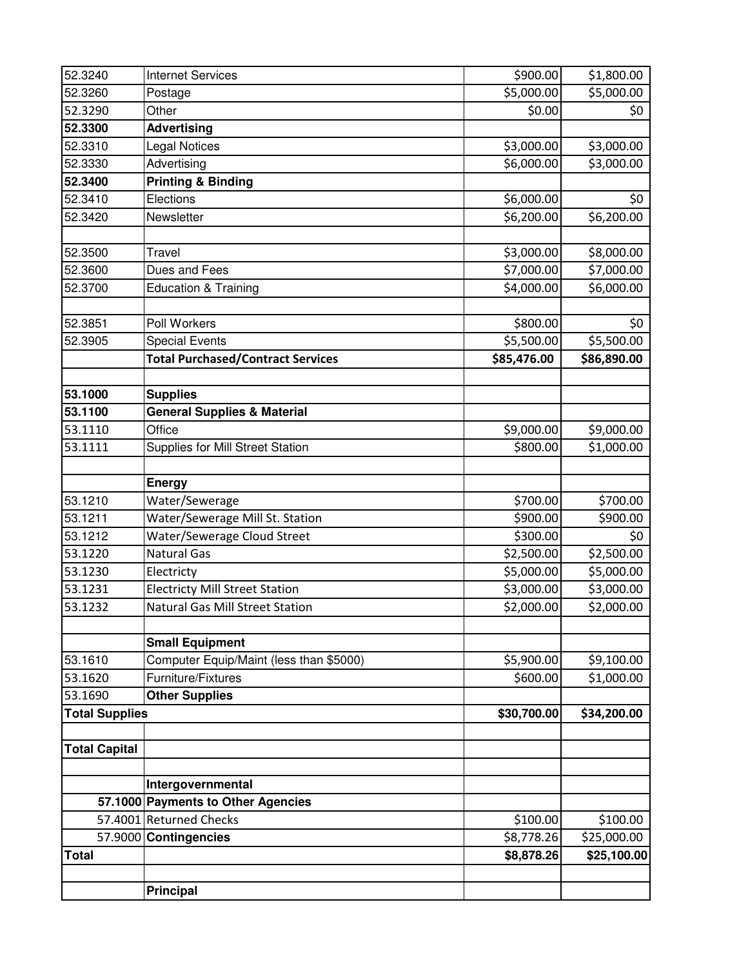| 52.3240               | <b>Internet Services</b>                 | \$900.00    | \$1,800.00              |
|-----------------------|------------------------------------------|-------------|-------------------------|
| 52.3260               | Postage                                  | \$5,000.00  | \$5,000.00              |
| 52.3290               | Other                                    | \$0.00      | \$0                     |
| 52.3300               | <b>Advertising</b>                       |             |                         |
| 52.3310               | <b>Legal Notices</b>                     | \$3,000.00  | \$3,000.00              |
| 52.3330               | Advertising                              | \$6,000.00  | \$3,000.00              |
| 52.3400               | <b>Printing &amp; Binding</b>            |             |                         |
| 52.3410               | Elections                                | \$6,000.00  | \$0                     |
| 52.3420               | Newsletter                               | \$6,200.00  | \$6,200.00              |
|                       |                                          |             |                         |
| 52.3500               | <b>Travel</b>                            | \$3,000.00  | \$8,000.00              |
| 52.3600               | Dues and Fees                            | \$7,000.00  | \$7,000.00              |
| 52.3700               | <b>Education &amp; Training</b>          | \$4,000.00  | \$6,000.00              |
|                       |                                          |             |                         |
| 52.3851               | Poll Workers                             | \$800.00    | \$0                     |
| 52.3905               | <b>Special Events</b>                    | \$5,500.00  | \$5,500.00              |
|                       | <b>Total Purchased/Contract Services</b> | \$85,476.00 | \$86,890.00             |
|                       |                                          |             |                         |
| 53.1000               | <b>Supplies</b>                          |             |                         |
| 53.1100               | <b>General Supplies &amp; Material</b>   |             |                         |
| 53.1110               | Office                                   | \$9,000.00  | \$9,000.00              |
| 53.1111               | Supplies for Mill Street Station         | \$800.00    | \$1,000.00              |
|                       |                                          |             |                         |
|                       | <b>Energy</b>                            |             |                         |
| 53.1210               | Water/Sewerage                           | \$700.00    | \$700.00                |
| 53.1211               | Water/Sewerage Mill St. Station          | \$900.00    | \$900.00                |
| 53.1212               | Water/Sewerage Cloud Street              | \$300.00    | \$0                     |
| 53.1220               | <b>Natural Gas</b>                       | \$2,500.00  | \$2,500.00              |
| 53.1230               | Electricty                               | \$5,000.00  | \$5,000.00              |
| 53.1231               | <b>Electricty Mill Street Station</b>    | \$3,000.00  | \$3,000.00              |
| 53.1232               | <b>Natural Gas Mill Street Station</b>   | \$2,000.00  | \$2,000.00              |
|                       |                                          |             |                         |
|                       | <b>Small Equipment</b>                   |             |                         |
| 53.1610               | Computer Equip/Maint (less than \$5000)  | \$5,900.00  | \$9,100.00              |
| 53.1620<br>53.1690    | Furniture/Fixtures                       | \$600.00    | \$1,000.00              |
|                       | <b>Other Supplies</b>                    |             |                         |
| <b>Total Supplies</b> |                                          | \$30,700.00 | \$34,200.00             |
| <b>Total Capital</b>  |                                          |             |                         |
|                       |                                          |             |                         |
|                       | Intergovernmental                        |             |                         |
|                       | 57.1000 Payments to Other Agencies       |             |                         |
|                       | 57.4001 Returned Checks                  | \$100.00    | \$100.00                |
|                       | 57.9000 Contingencies                    | \$8,778.26  | \$25,000.00             |
| <b>Total</b>          |                                          | \$8,878.26  | $\overline{$}25,100.00$ |
|                       |                                          |             |                         |
|                       | <b>Principal</b>                         |             |                         |